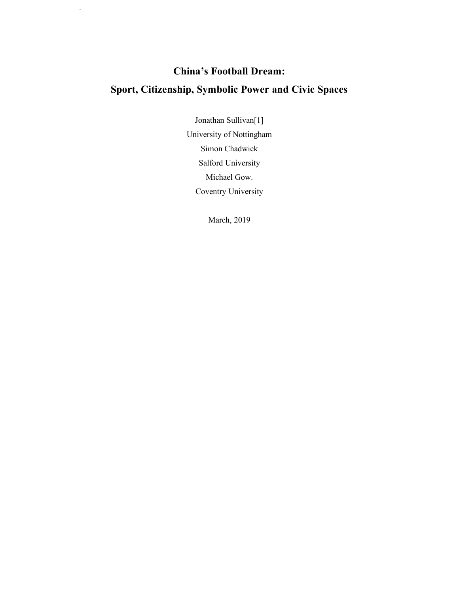# **China's Football Dream: Sport, Citizenship, Symbolic Power and Civic Spaces**

Running Head: China's Football Dream

Jonathan Sullivan[1] University of Nottingham Simon Chadwick Salford University Michael Gow. Coventry University

March, 2019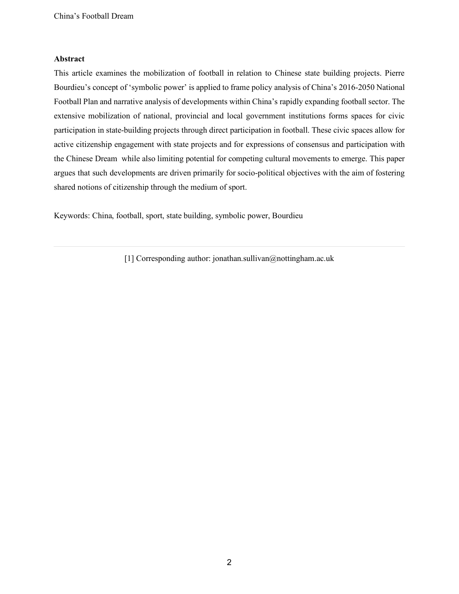#### **Abstract**

This article examines the mobilization of football in relation to Chinese state building projects. Pierre Bourdieu's concept of 'symbolic power' is applied to frame policy analysis of China's 2016-2050 National Football Plan and narrative analysis of developments within China's rapidly expanding football sector. The extensive mobilization of national, provincial and local government institutions forms spaces for civic participation in state-building projects through direct participation in football. These civic spaces allow for active citizenship engagement with state projects and for expressions of consensus and participation with the Chinese Dream while also limiting potential for competing cultural movements to emerge. This paper argues that such developments are driven primarily for socio-political objectives with the aim of fostering shared notions of citizenship through the medium of sport.

Keywords: China, football, sport, state building, symbolic power, Bourdieu

[1] Corresponding author: jonathan.sullivan@nottingham.ac.uk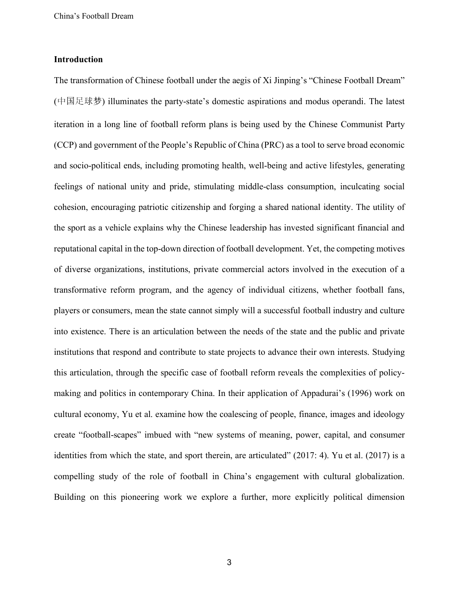## **Introduction**

The transformation of Chinese football under the aegis of Xi Jinping's "Chinese Football Dream" (中国足球梦) illuminates the party-state's domestic aspirations and modus operandi. The latest iteration in a long line of football reform plans is being used by the Chinese Communist Party (CCP) and government of the People's Republic of China (PRC) as a tool to serve broad economic and socio-political ends, including promoting health, well-being and active lifestyles, generating feelings of national unity and pride, stimulating middle-class consumption, inculcating social cohesion, encouraging patriotic citizenship and forging a shared national identity. The utility of the sport as a vehicle explains why the Chinese leadership has invested significant financial and reputational capital in the top-down direction of football development. Yet, the competing motives of diverse organizations, institutions, private commercial actors involved in the execution of a transformative reform program, and the agency of individual citizens, whether football fans, players or consumers, mean the state cannot simply will a successful football industry and culture into existence. There is an articulation between the needs of the state and the public and private institutions that respond and contribute to state projects to advance their own interests. Studying this articulation, through the specific case of football reform reveals the complexities of policymaking and politics in contemporary China. In their application of Appadurai's (1996) work on cultural economy, Yu et al. examine how the coalescing of people, finance, images and ideology create "football-scapes" imbued with "new systems of meaning, power, capital, and consumer identities from which the state, and sport therein, are articulated" (2017: 4). Yu et al. (2017) is a compelling study of the role of football in China's engagement with cultural globalization. Building on this pioneering work we explore a further, more explicitly political dimension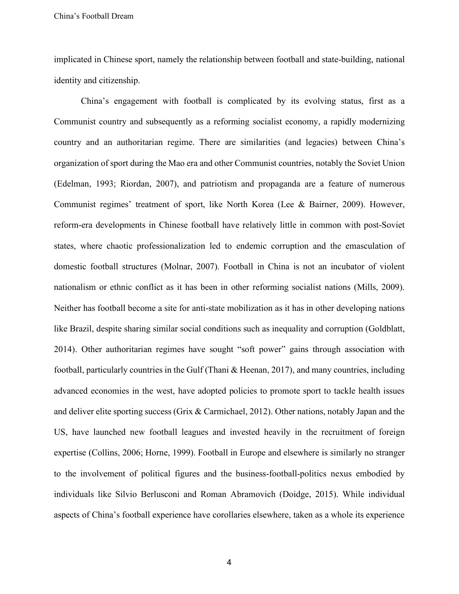implicated in Chinese sport, namely the relationship between football and state-building, national identity and citizenship.

 China's engagement with football is complicated by its evolving status, first as a Communist country and subsequently as a reforming socialist economy, a rapidly modernizing country and an authoritarian regime. There are similarities (and legacies) between China's organization of sport during the Mao era and other Communist countries, notably the Soviet Union (Edelman, 1993; Riordan, 2007), and patriotism and propaganda are a feature of numerous Communist regimes' treatment of sport, like North Korea (Lee & Bairner, 2009). However, reform-era developments in Chinese football have relatively little in common with post-Soviet states, where chaotic professionalization led to endemic corruption and the emasculation of domestic football structures (Molnar, 2007). Football in China is not an incubator of violent nationalism or ethnic conflict as it has been in other reforming socialist nations (Mills, 2009). Neither has football become a site for anti-state mobilization as it has in other developing nations like Brazil, despite sharing similar social conditions such as inequality and corruption (Goldblatt, 2014). Other authoritarian regimes have sought "soft power" gains through association with football, particularly countries in the Gulf (Thani & Heenan, 2017), and many countries, including advanced economies in the west, have adopted policies to promote sport to tackle health issues and deliver elite sporting success (Grix & Carmichael, 2012). Other nations, notably Japan and the US, have launched new football leagues and invested heavily in the recruitment of foreign expertise (Collins, 2006; Horne, 1999). Football in Europe and elsewhere is similarly no stranger to the involvement of political figures and the business-football-politics nexus embodied by individuals like Silvio Berlusconi and Roman Abramovich (Doidge, 2015). While individual aspects of China's football experience have corollaries elsewhere, taken as a whole its experience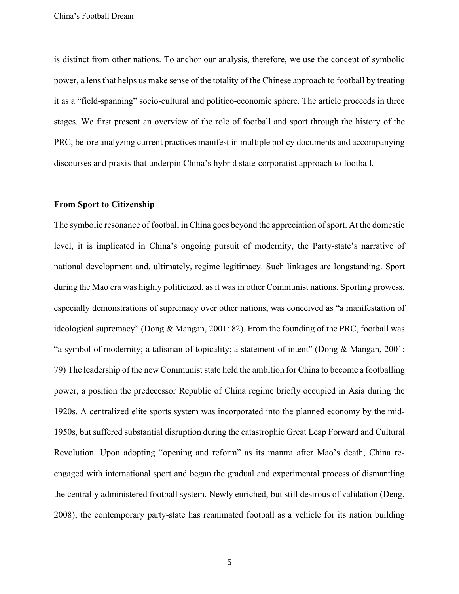is distinct from other nations. To anchor our analysis, therefore, we use the concept of symbolic power, a lens that helps us make sense of the totality of the Chinese approach to football by treating it as a "field-spanning" socio-cultural and politico-economic sphere. The article proceeds in three stages. We first present an overview of the role of football and sport through the history of the PRC, before analyzing current practices manifest in multiple policy documents and accompanying discourses and praxis that underpin China's hybrid state-corporatist approach to football.

# **From Sport to Citizenship**

The symbolic resonance of football in China goes beyond the appreciation of sport. At the domestic level, it is implicated in China's ongoing pursuit of modernity, the Party-state's narrative of national development and, ultimately, regime legitimacy. Such linkages are longstanding. Sport during the Mao era was highly politicized, as it was in other Communist nations. Sporting prowess, especially demonstrations of supremacy over other nations, was conceived as "a manifestation of ideological supremacy" (Dong & Mangan, 2001: 82). From the founding of the PRC, football was "a symbol of modernity; a talisman of topicality; a statement of intent" (Dong & Mangan, 2001: 79) The leadership of the new Communist state held the ambition for China to become a footballing power, a position the predecessor Republic of China regime briefly occupied in Asia during the 1920s. A centralized elite sports system was incorporated into the planned economy by the mid-1950s, but suffered substantial disruption during the catastrophic Great Leap Forward and Cultural Revolution. Upon adopting "opening and reform" as its mantra after Mao's death, China reengaged with international sport and began the gradual and experimental process of dismantling the centrally administered football system. Newly enriched, but still desirous of validation (Deng, 2008), the contemporary party-state has reanimated football as a vehicle for its nation building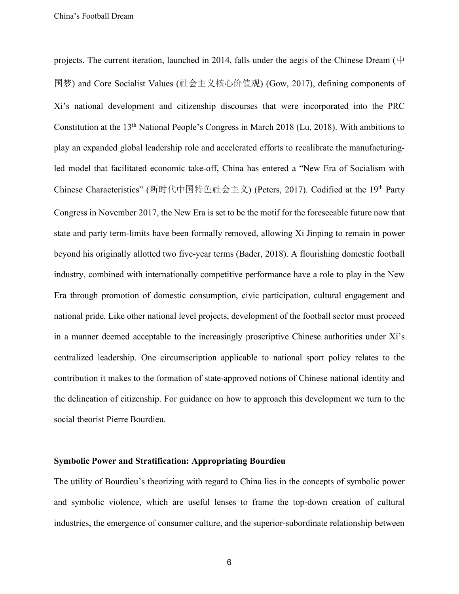projects. The current iteration, launched in 2014, falls under the aegis of the Chinese Dream (中 国梦) and Core Socialist Values (社会主义核心价值观) (Gow, 2017), defining components of Xi's national development and citizenship discourses that were incorporated into the PRC Constitution at the 13th National People's Congress in March 2018 (Lu, 2018). With ambitions to play an expanded global leadership role and accelerated efforts to recalibrate the manufacturingled model that facilitated economic take-off, China has entered a "New Era of Socialism with Chinese Characteristics" (新时代中国特色社会主义) (Peters, 2017). Codified at the 19<sup>th</sup> Party Congress in November 2017, the New Era is set to be the motif for the foreseeable future now that state and party term-limits have been formally removed, allowing Xi Jinping to remain in power beyond his originally allotted two five-year terms (Bader, 2018). A flourishing domestic football industry, combined with internationally competitive performance have a role to play in the New Era through promotion of domestic consumption, civic participation, cultural engagement and national pride. Like other national level projects, development of the football sector must proceed in a manner deemed acceptable to the increasingly proscriptive Chinese authorities under Xi's centralized leadership. One circumscription applicable to national sport policy relates to the contribution it makes to the formation of state-approved notions of Chinese national identity and the delineation of citizenship. For guidance on how to approach this development we turn to the social theorist Pierre Bourdieu.

#### **Symbolic Power and Stratification: Appropriating Bourdieu**

The utility of Bourdieu's theorizing with regard to China lies in the concepts of symbolic power and symbolic violence, which are useful lenses to frame the top-down creation of cultural industries, the emergence of consumer culture, and the superior-subordinate relationship between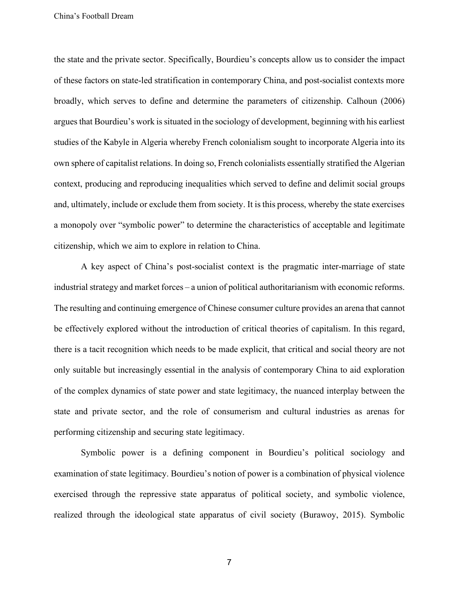the state and the private sector. Specifically, Bourdieu's concepts allow us to consider the impact of these factors on state-led stratification in contemporary China, and post-socialist contexts more broadly, which serves to define and determine the parameters of citizenship. Calhoun (2006) argues that Bourdieu's work is situated in the sociology of development, beginning with his earliest studies of the Kabyle in Algeria whereby French colonialism sought to incorporate Algeria into its own sphere of capitalist relations. In doing so, French colonialists essentially stratified the Algerian context, producing and reproducing inequalities which served to define and delimit social groups and, ultimately, include or exclude them from society. It is this process, whereby the state exercises a monopoly over "symbolic power" to determine the characteristics of acceptable and legitimate citizenship, which we aim to explore in relation to China.

A key aspect of China's post-socialist context is the pragmatic inter-marriage of state industrial strategy and market forces – a union of political authoritarianism with economic reforms. The resulting and continuing emergence of Chinese consumer culture provides an arena that cannot be effectively explored without the introduction of critical theories of capitalism. In this regard, there is a tacit recognition which needs to be made explicit, that critical and social theory are not only suitable but increasingly essential in the analysis of contemporary China to aid exploration of the complex dynamics of state power and state legitimacy, the nuanced interplay between the state and private sector, and the role of consumerism and cultural industries as arenas for performing citizenship and securing state legitimacy.

Symbolic power is a defining component in Bourdieu's political sociology and examination of state legitimacy. Bourdieu's notion of power is a combination of physical violence exercised through the repressive state apparatus of political society, and symbolic violence, realized through the ideological state apparatus of civil society (Burawoy, 2015). Symbolic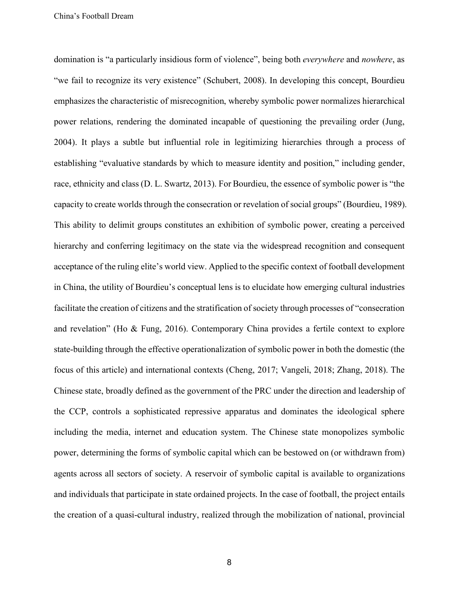domination is "a particularly insidious form of violence", being both *everywhere* and *nowhere*, as "we fail to recognize its very existence" (Schubert, 2008). In developing this concept, Bourdieu emphasizes the characteristic of misrecognition, whereby symbolic power normalizes hierarchical power relations, rendering the dominated incapable of questioning the prevailing order (Jung, 2004). It plays a subtle but influential role in legitimizing hierarchies through a process of establishing "evaluative standards by which to measure identity and position," including gender, race, ethnicity and class (D. L. Swartz, 2013). For Bourdieu, the essence of symbolic power is "the capacity to create worlds through the consecration or revelation of social groups" (Bourdieu, 1989). This ability to delimit groups constitutes an exhibition of symbolic power, creating a perceived hierarchy and conferring legitimacy on the state via the widespread recognition and consequent acceptance of the ruling elite's world view. Applied to the specific context of football development in China, the utility of Bourdieu's conceptual lens is to elucidate how emerging cultural industries facilitate the creation of citizens and the stratification of society through processes of "consecration and revelation" (Ho & Fung, 2016). Contemporary China provides a fertile context to explore state-building through the effective operationalization of symbolic power in both the domestic (the focus of this article) and international contexts (Cheng, 2017; Vangeli, 2018; Zhang, 2018). The Chinese state, broadly defined as the government of the PRC under the direction and leadership of the CCP, controls a sophisticated repressive apparatus and dominates the ideological sphere including the media, internet and education system. The Chinese state monopolizes symbolic power, determining the forms of symbolic capital which can be bestowed on (or withdrawn from) agents across all sectors of society. A reservoir of symbolic capital is available to organizations and individuals that participate in state ordained projects. In the case of football, the project entails the creation of a quasi-cultural industry, realized through the mobilization of national, provincial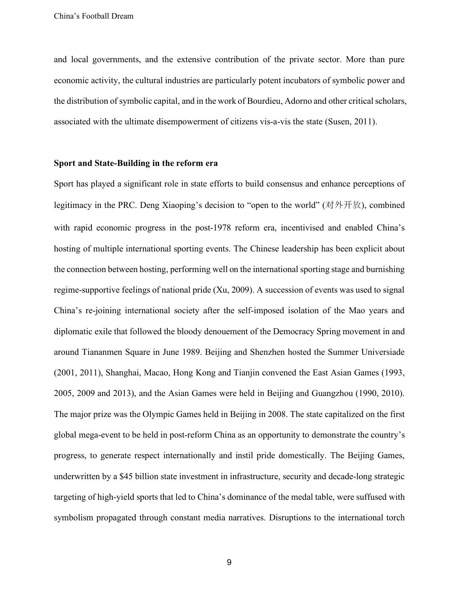and local governments, and the extensive contribution of the private sector. More than pure economic activity, the cultural industries are particularly potent incubators of symbolic power and the distribution of symbolic capital, and in the work of Bourdieu, Adorno and other critical scholars, associated with the ultimate disempowerment of citizens vis-a-vis the state (Susen, 2011).

## **Sport and State-Building in the reform era**

Sport has played a significant role in state efforts to build consensus and enhance perceptions of legitimacy in the PRC. Deng Xiaoping's decision to "open to the world" (对外开放), combined with rapid economic progress in the post-1978 reform era, incentivised and enabled China's hosting of multiple international sporting events. The Chinese leadership has been explicit about the connection between hosting, performing well on the international sporting stage and burnishing regime-supportive feelings of national pride (Xu, 2009). A succession of events was used to signal China's re-joining international society after the self-imposed isolation of the Mao years and diplomatic exile that followed the bloody denouement of the Democracy Spring movement in and around Tiananmen Square in June 1989. Beijing and Shenzhen hosted the Summer Universiade (2001, 2011), Shanghai, Macao, Hong Kong and Tianjin convened the East Asian Games (1993, 2005, 2009 and 2013), and the Asian Games were held in Beijing and Guangzhou (1990, 2010). The major prize was the Olympic Games held in Beijing in 2008. The state capitalized on the first global mega-event to be held in post-reform China as an opportunity to demonstrate the country's progress, to generate respect internationally and instil pride domestically. The Beijing Games, underwritten by a \$45 billion state investment in infrastructure, security and decade-long strategic targeting of high-yield sports that led to China's dominance of the medal table, were suffused with symbolism propagated through constant media narratives. Disruptions to the international torch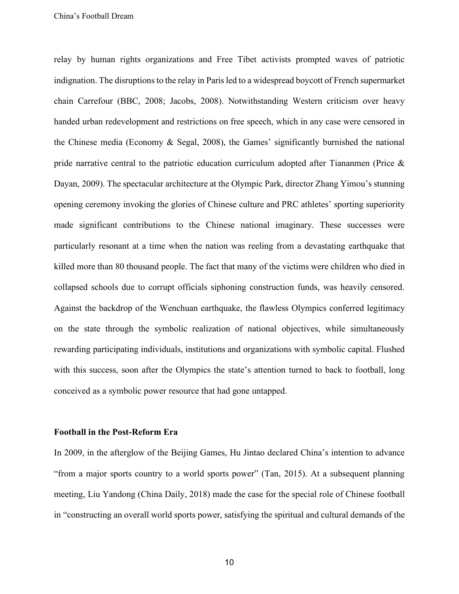relay by human rights organizations and Free Tibet activists prompted waves of patriotic indignation. The disruptions to the relay in Paris led to a widespread boycott of French supermarket chain Carrefour (BBC, 2008; Jacobs, 2008). Notwithstanding Western criticism over heavy handed urban redevelopment and restrictions on free speech, which in any case were censored in the Chinese media (Economy & Segal, 2008), the Games' significantly burnished the national pride narrative central to the patriotic education curriculum adopted after Tiananmen (Price  $\&$ Dayan, 2009). The spectacular architecture at the Olympic Park, director Zhang Yimou's stunning opening ceremony invoking the glories of Chinese culture and PRC athletes' sporting superiority made significant contributions to the Chinese national imaginary. These successes were particularly resonant at a time when the nation was reeling from a devastating earthquake that killed more than 80 thousand people. The fact that many of the victims were children who died in collapsed schools due to corrupt officials siphoning construction funds, was heavily censored. Against the backdrop of the Wenchuan earthquake, the flawless Olympics conferred legitimacy on the state through the symbolic realization of national objectives, while simultaneously rewarding participating individuals, institutions and organizations with symbolic capital. Flushed with this success, soon after the Olympics the state's attention turned to back to football, long conceived as a symbolic power resource that had gone untapped.

#### **Football in the Post-Reform Era**

In 2009, in the afterglow of the Beijing Games, Hu Jintao declared China's intention to advance "from a major sports country to a world sports power" (Tan, 2015). At a subsequent planning meeting, Liu Yandong (China Daily, 2018) made the case for the special role of Chinese football in "constructing an overall world sports power, satisfying the spiritual and cultural demands of the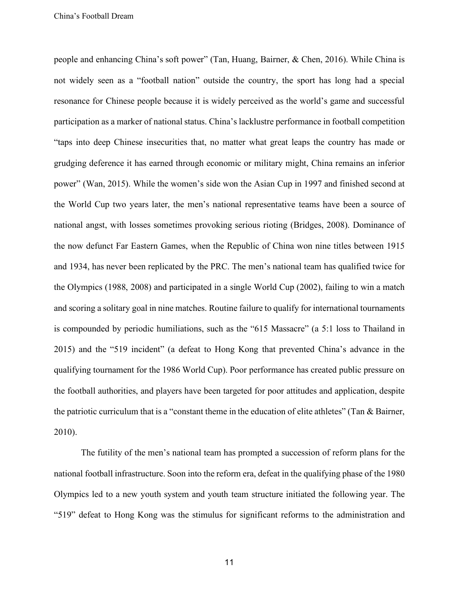people and enhancing China's soft power" (Tan, Huang, Bairner, & Chen, 2016). While China is not widely seen as a "football nation" outside the country, the sport has long had a special resonance for Chinese people because it is widely perceived as the world's game and successful participation as a marker of national status. China's lacklustre performance in football competition "taps into deep Chinese insecurities that, no matter what great leaps the country has made or grudging deference it has earned through economic or military might, China remains an inferior power" (Wan, 2015). While the women's side won the Asian Cup in 1997 and finished second at the World Cup two years later, the men's national representative teams have been a source of national angst, with losses sometimes provoking serious rioting (Bridges, 2008). Dominance of the now defunct Far Eastern Games, when the Republic of China won nine titles between 1915 and 1934, has never been replicated by the PRC. The men's national team has qualified twice for the Olympics (1988, 2008) and participated in a single World Cup (2002), failing to win a match and scoring a solitary goal in nine matches. Routine failure to qualify for international tournaments is compounded by periodic humiliations, such as the "615 Massacre" (a 5:1 loss to Thailand in 2015) and the "519 incident" (a defeat to Hong Kong that prevented China's advance in the qualifying tournament for the 1986 World Cup). Poor performance has created public pressure on the football authorities, and players have been targeted for poor attitudes and application, despite the patriotic curriculum that is a "constant theme in the education of elite athletes" (Tan & Bairner, 2010).

The futility of the men's national team has prompted a succession of reform plans for the national football infrastructure. Soon into the reform era, defeat in the qualifying phase of the 1980 Olympics led to a new youth system and youth team structure initiated the following year. The "519" defeat to Hong Kong was the stimulus for significant reforms to the administration and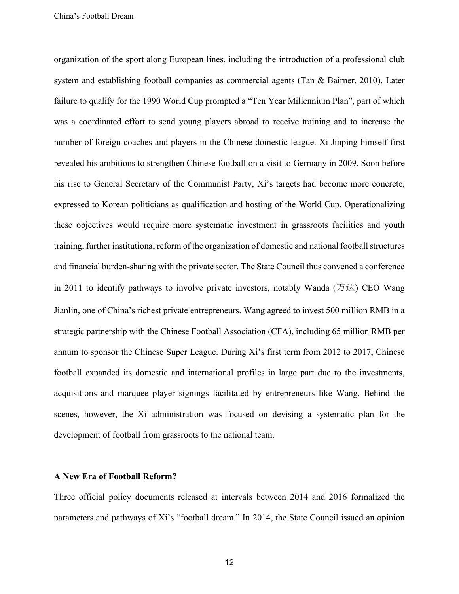organization of the sport along European lines, including the introduction of a professional club system and establishing football companies as commercial agents (Tan & Bairner, 2010). Later failure to qualify for the 1990 World Cup prompted a "Ten Year Millennium Plan", part of which was a coordinated effort to send young players abroad to receive training and to increase the number of foreign coaches and players in the Chinese domestic league. Xi Jinping himself first revealed his ambitions to strengthen Chinese football on a visit to Germany in 2009. Soon before his rise to General Secretary of the Communist Party, Xi's targets had become more concrete, expressed to Korean politicians as qualification and hosting of the World Cup. Operationalizing these objectives would require more systematic investment in grassroots facilities and youth training, further institutional reform of the organization of domestic and national football structures and financial burden-sharing with the private sector. The State Council thus convened a conference in 2011 to identify pathways to involve private investors, notably Wanda  $(\bar{\pi})\pm 0$  CEO Wang Jianlin, one of China's richest private entrepreneurs. Wang agreed to invest 500 million RMB in a strategic partnership with the Chinese Football Association (CFA), including 65 million RMB per annum to sponsor the Chinese Super League. During Xi's first term from 2012 to 2017, Chinese football expanded its domestic and international profiles in large part due to the investments, acquisitions and marquee player signings facilitated by entrepreneurs like Wang. Behind the scenes, however, the Xi administration was focused on devising a systematic plan for the development of football from grassroots to the national team.

## **A New Era of Football Reform?**

Three official policy documents released at intervals between 2014 and 2016 formalized the parameters and pathways of Xi's "football dream." In 2014, the State Council issued an opinion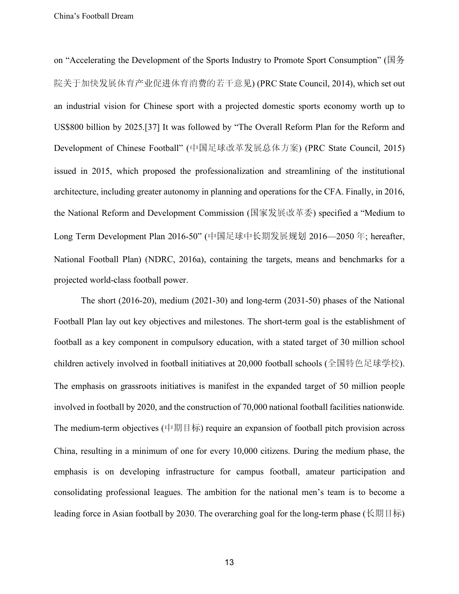on "Accelerating the Development of the Sports Industry to Promote Sport Consumption" (国务 院关于加快发展体育产业促进体育消费的若干意见) (PRC State Council, 2014), which set out an industrial vision for Chinese sport with a projected domestic sports economy worth up to US\$800 billion by 2025.[37] It was followed by "The Overall Reform Plan for the Reform and Development of Chinese Football" (中国足球改革发展总体方案) (PRC State Council, 2015) issued in 2015, which proposed the professionalization and streamlining of the institutional architecture, including greater autonomy in planning and operations for the CFA. Finally, in 2016, the National Reform and Development Commission (国家发展改革委) specified a "Medium to Long Term Development Plan 2016-50" (中国足球中长期发展规划 2016—2050 年; hereafter, National Football Plan) (NDRC, 2016a), containing the targets, means and benchmarks for a projected world-class football power.

 The short (2016-20), medium (2021-30) and long-term (2031-50) phases of the National Football Plan lay out key objectives and milestones. The short-term goal is the establishment of football as a key component in compulsory education, with a stated target of 30 million school children actively involved in football initiatives at 20,000 football schools (全国特色足球学校). The emphasis on grassroots initiatives is manifest in the expanded target of 50 million people involved in football by 2020, and the construction of 70,000 national football facilities nationwide. The medium-term objectives (中期目标) require an expansion of football pitch provision across China, resulting in a minimum of one for every 10,000 citizens. During the medium phase, the emphasis is on developing infrastructure for campus football, amateur participation and consolidating professional leagues. The ambition for the national men's team is to become a leading force in Asian football by 2030. The overarching goal for the long-term phase (长期目标)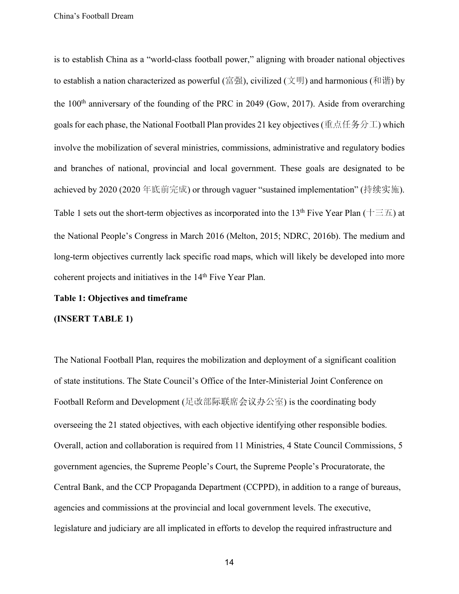is to establish China as a "world-class football power," aligning with broader national objectives to establish a nation characterized as powerful (富强), civilized (文明) and harmonious (和谐) by the  $100<sup>th</sup>$  anniversary of the founding of the PRC in 2049 (Gow, 2017). Aside from overarching goals for each phase, the National Football Plan provides 21 key objectives (重点任务分工) which involve the mobilization of several ministries, commissions, administrative and regulatory bodies and branches of national, provincial and local government. These goals are designated to be achieved by 2020 (2020 年底前完成) or through vaguer "sustained implementation" (持续实施). Table 1 sets out the short-term objectives as incorporated into the 13<sup>th</sup> Five Year Plan ( $\pm \equiv \pm$ ) at the National People's Congress in March 2016 (Melton, 2015; NDRC, 2016b). The medium and long-term objectives currently lack specific road maps, which will likely be developed into more coherent projects and initiatives in the 14<sup>th</sup> Five Year Plan.

# **Table 1: Objectives and timeframe**

#### **(INSERT TABLE 1)**

The National Football Plan, requires the mobilization and deployment of a significant coalition of state institutions. The State Council's Office of the Inter-Ministerial Joint Conference on Football Reform and Development (足改部际联席会议办公室) is the coordinating body overseeing the 21 stated objectives, with each objective identifying other responsible bodies. Overall, action and collaboration is required from 11 Ministries, 4 State Council Commissions, 5 government agencies, the Supreme People's Court, the Supreme People's Procuratorate, the Central Bank, and the CCP Propaganda Department (CCPPD), in addition to a range of bureaus, agencies and commissions at the provincial and local government levels. The executive, legislature and judiciary are all implicated in efforts to develop the required infrastructure and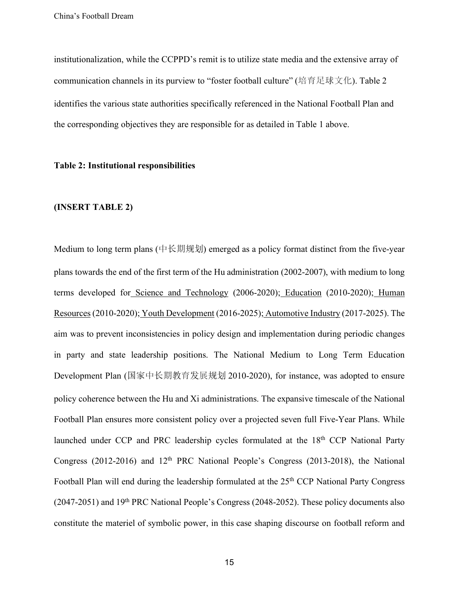institutionalization, while the CCPPD's remit is to utilize state media and the extensive array of communication channels in its purview to "foster football culture" (培育足球文化). Table 2 identifies the various state authorities specifically referenced in the National Football Plan and the corresponding objectives they are responsible for as detailed in Table 1 above.

# **Table 2: Institutional responsibilities**

# **(INSERT TABLE 2)**

Medium to long term plans (中长期规划) emerged as a policy format distinct from the five-year plans towards the end of the first term of the Hu administration (2002-2007), with medium to long terms developed for Science and Technology (2006-2020); Education (2010-2020); Human Resources(2010-2020); Youth Development (2016-2025); Automotive Industry (2017-2025). The aim was to prevent inconsistencies in policy design and implementation during periodic changes in party and state leadership positions. The National Medium to Long Term Education Development Plan (国家中长期教育发展规划 2010-2020), for instance, was adopted to ensure policy coherence between the Hu and Xi administrations. The expansive timescale of the National Football Plan ensures more consistent policy over a projected seven full Five-Year Plans. While launched under CCP and PRC leadership cycles formulated at the 18<sup>th</sup> CCP National Party Congress (2012-2016) and  $12<sup>th</sup>$  PRC National People's Congress (2013-2018), the National Football Plan will end during the leadership formulated at the 25<sup>th</sup> CCP National Party Congress (2047-2051) and 19th PRC National People's Congress (2048-2052). These policy documents also constitute the materiel of symbolic power, in this case shaping discourse on football reform and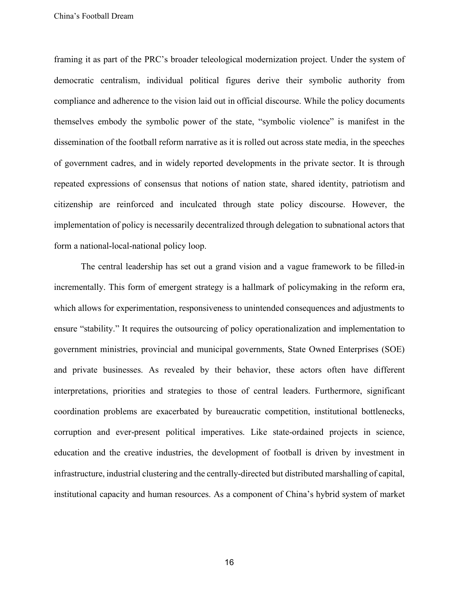framing it as part of the PRC's broader teleological modernization project. Under the system of democratic centralism, individual political figures derive their symbolic authority from compliance and adherence to the vision laid out in official discourse. While the policy documents themselves embody the symbolic power of the state, "symbolic violence" is manifest in the dissemination of the football reform narrative as it is rolled out across state media, in the speeches of government cadres, and in widely reported developments in the private sector. It is through repeated expressions of consensus that notions of nation state, shared identity, patriotism and citizenship are reinforced and inculcated through state policy discourse. However, the implementation of policy is necessarily decentralized through delegation to subnational actors that form a national-local-national policy loop.

The central leadership has set out a grand vision and a vague framework to be filled-in incrementally. This form of emergent strategy is a hallmark of policymaking in the reform era, which allows for experimentation, responsiveness to unintended consequences and adjustments to ensure "stability." It requires the outsourcing of policy operationalization and implementation to government ministries, provincial and municipal governments, State Owned Enterprises (SOE) and private businesses. As revealed by their behavior, these actors often have different interpretations, priorities and strategies to those of central leaders. Furthermore, significant coordination problems are exacerbated by bureaucratic competition, institutional bottlenecks, corruption and ever-present political imperatives. Like state-ordained projects in science, education and the creative industries, the development of football is driven by investment in infrastructure, industrial clustering and the centrally-directed but distributed marshalling of capital, institutional capacity and human resources. As a component of China's hybrid system of market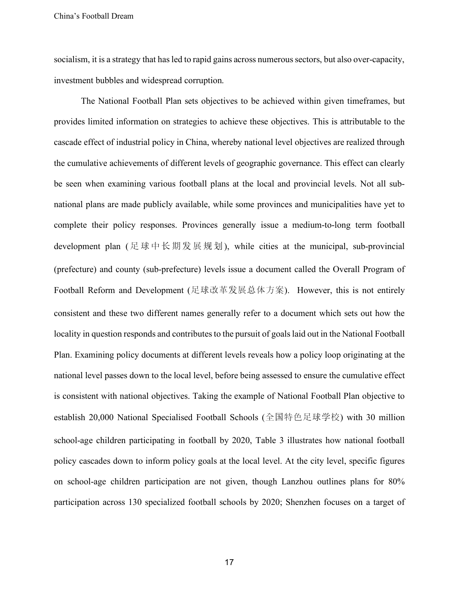socialism, it is a strategy that has led to rapid gains across numerous sectors, but also over-capacity, investment bubbles and widespread corruption.

The National Football Plan sets objectives to be achieved within given timeframes, but provides limited information on strategies to achieve these objectives. This is attributable to the cascade effect of industrial policy in China, whereby national level objectives are realized through the cumulative achievements of different levels of geographic governance. This effect can clearly be seen when examining various football plans at the local and provincial levels. Not all subnational plans are made publicly available, while some provinces and municipalities have yet to complete their policy responses. Provinces generally issue a medium-to-long term football development plan ( 足球中长期发 展规划), while cities at the municipal, sub-provincial (prefecture) and county (sub-prefecture) levels issue a document called the Overall Program of Football Reform and Development (足球改革发展总体方案). However, this is not entirely consistent and these two different names generally refer to a document which sets out how the locality in question responds and contributes to the pursuit of goals laid out in the National Football Plan. Examining policy documents at different levels reveals how a policy loop originating at the national level passes down to the local level, before being assessed to ensure the cumulative effect is consistent with national objectives. Taking the example of National Football Plan objective to establish 20,000 National Specialised Football Schools (全国特色足球学校) with 30 million school-age children participating in football by 2020, Table 3 illustrates how national football policy cascades down to inform policy goals at the local level. At the city level, specific figures on school-age children participation are not given, though Lanzhou outlines plans for 80% participation across 130 specialized football schools by 2020; Shenzhen focuses on a target of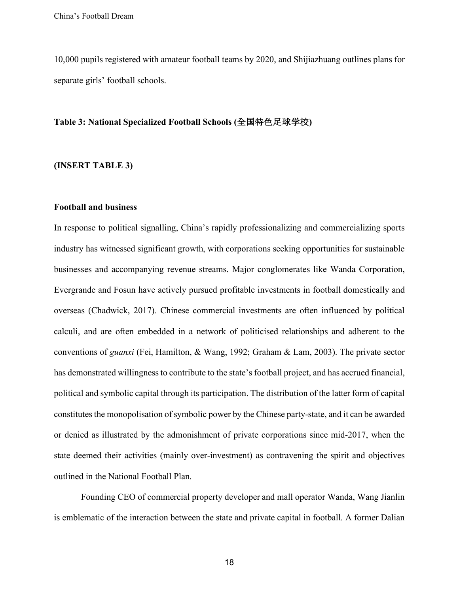10,000 pupils registered with amateur football teams by 2020, and Shijiazhuang outlines plans for separate girls' football schools.

## **Table 3: National Specialized Football Schools (**全国特色足球学校**)**

# **(INSERT TABLE 3)**

## **Football and business**

In response to political signalling, China's rapidly professionalizing and commercializing sports industry has witnessed significant growth, with corporations seeking opportunities for sustainable businesses and accompanying revenue streams. Major conglomerates like Wanda Corporation, Evergrande and Fosun have actively pursued profitable investments in football domestically and overseas (Chadwick, 2017). Chinese commercial investments are often influenced by political calculi, and are often embedded in a network of politicised relationships and adherent to the conventions of *guanxi* (Fei, Hamilton, & Wang, 1992; Graham & Lam, 2003). The private sector has demonstrated willingness to contribute to the state's football project, and has accrued financial, political and symbolic capital through its participation. The distribution of the latter form of capital constitutes the monopolisation of symbolic power by the Chinese party-state, and it can be awarded or denied as illustrated by the admonishment of private corporations since mid-2017, when the state deemed their activities (mainly over-investment) as contravening the spirit and objectives outlined in the National Football Plan.

Founding CEO of commercial property developer and mall operator Wanda, Wang Jianlin is emblematic of the interaction between the state and private capital in football. A former Dalian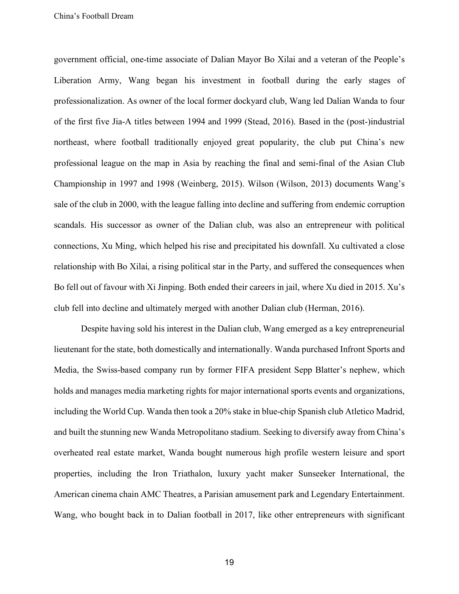government official, one-time associate of Dalian Mayor Bo Xilai and a veteran of the People's Liberation Army, Wang began his investment in football during the early stages of professionalization. As owner of the local former dockyard club, Wang led Dalian Wanda to four of the first five Jia-A titles between 1994 and 1999 (Stead, 2016). Based in the (post-)industrial northeast, where football traditionally enjoyed great popularity, the club put China's new professional league on the map in Asia by reaching the final and semi-final of the Asian Club Championship in 1997 and 1998 (Weinberg, 2015). Wilson (Wilson, 2013) documents Wang's sale of the club in 2000, with the league falling into decline and suffering from endemic corruption scandals. His successor as owner of the Dalian club, was also an entrepreneur with political connections, Xu Ming, which helped his rise and precipitated his downfall. Xu cultivated a close relationship with Bo Xilai, a rising political star in the Party, and suffered the consequences when Bo fell out of favour with Xi Jinping. Both ended their careers in jail, where Xu died in 2015. Xu's club fell into decline and ultimately merged with another Dalian club (Herman, 2016).

Despite having sold his interest in the Dalian club, Wang emerged as a key entrepreneurial lieutenant for the state, both domestically and internationally. Wanda purchased Infront Sports and Media, the Swiss-based company run by former FIFA president Sepp Blatter's nephew, which holds and manages media marketing rights for major international sports events and organizations, including the World Cup. Wanda then took a 20% stake in blue-chip Spanish club Atletico Madrid, and built the stunning new Wanda Metropolitano stadium. Seeking to diversify away from China's overheated real estate market, Wanda bought numerous high profile western leisure and sport properties, including the Iron Triathalon, luxury yacht maker Sunseeker International, the American cinema chain AMC Theatres, a Parisian amusement park and Legendary Entertainment. Wang, who bought back in to Dalian football in 2017, like other entrepreneurs with significant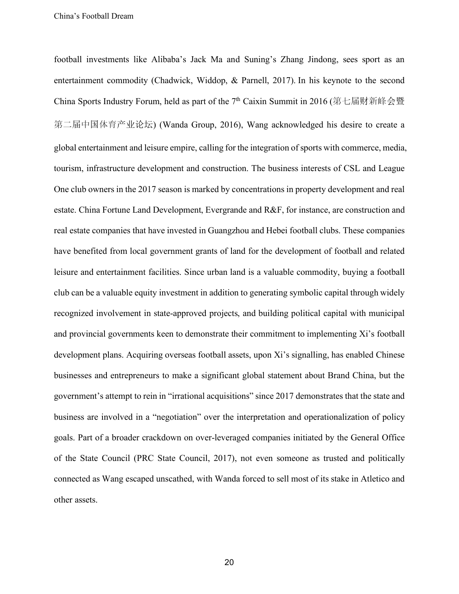football investments like Alibaba's Jack Ma and Suning's Zhang Jindong, sees sport as an entertainment commodity (Chadwick, Widdop, & Parnell, 2017). In his keynote to the second China Sports Industry Forum, held as part of the 7<sup>th</sup> Caixin Summit in 2016 (第七届财新峰会暨 第二届中国体育产业论坛) (Wanda Group, 2016), Wang acknowledged his desire to create a global entertainment and leisure empire, calling for the integration of sports with commerce, media, tourism, infrastructure development and construction. The business interests of CSL and League One club owners in the 2017 season is marked by concentrations in property development and real estate. China Fortune Land Development, Evergrande and R&F, for instance, are construction and real estate companies that have invested in Guangzhou and Hebei football clubs. These companies have benefited from local government grants of land for the development of football and related leisure and entertainment facilities. Since urban land is a valuable commodity, buying a football club can be a valuable equity investment in addition to generating symbolic capital through widely recognized involvement in state-approved projects, and building political capital with municipal and provincial governments keen to demonstrate their commitment to implementing Xi's football development plans. Acquiring overseas football assets, upon Xi's signalling, has enabled Chinese businesses and entrepreneurs to make a significant global statement about Brand China, but the government's attempt to rein in "irrational acquisitions" since 2017 demonstrates that the state and business are involved in a "negotiation" over the interpretation and operationalization of policy goals. Part of a broader crackdown on over-leveraged companies initiated by the General Office of the State Council (PRC State Council, 2017), not even someone as trusted and politically connected as Wang escaped unscathed, with Wanda forced to sell most of its stake in Atletico and other assets.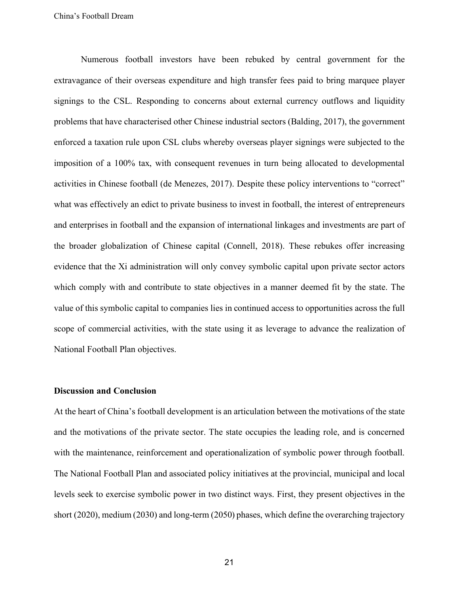Numerous football investors have been rebuked by central government for the extravagance of their overseas expenditure and high transfer fees paid to bring marquee player signings to the CSL. Responding to concerns about external currency outflows and liquidity problems that have characterised other Chinese industrial sectors (Balding, 2017), the government enforced a taxation rule upon CSL clubs whereby overseas player signings were subjected to the imposition of a 100% tax, with consequent revenues in turn being allocated to developmental activities in Chinese football (de Menezes, 2017). Despite these policy interventions to "correct" what was effectively an edict to private business to invest in football, the interest of entrepreneurs and enterprises in football and the expansion of international linkages and investments are part of the broader globalization of Chinese capital (Connell, 2018). These rebukes offer increasing evidence that the Xi administration will only convey symbolic capital upon private sector actors which comply with and contribute to state objectives in a manner deemed fit by the state. The value of this symbolic capital to companies lies in continued access to opportunities across the full scope of commercial activities, with the state using it as leverage to advance the realization of National Football Plan objectives.

## **Discussion and Conclusion**

At the heart of China's football development is an articulation between the motivations of the state and the motivations of the private sector. The state occupies the leading role, and is concerned with the maintenance, reinforcement and operationalization of symbolic power through football. The National Football Plan and associated policy initiatives at the provincial, municipal and local levels seek to exercise symbolic power in two distinct ways. First, they present objectives in the short (2020), medium (2030) and long-term (2050) phases, which define the overarching trajectory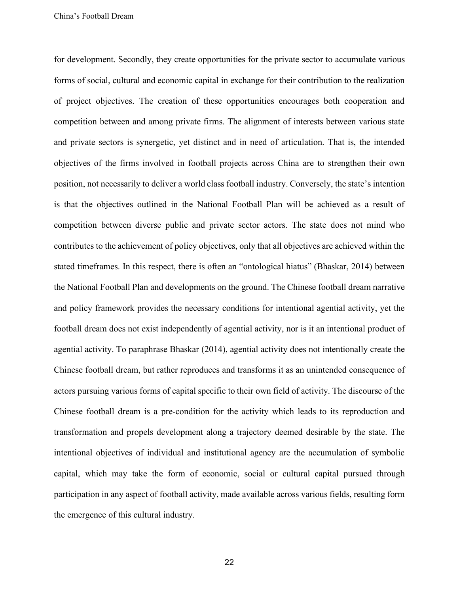for development. Secondly, they create opportunities for the private sector to accumulate various forms of social, cultural and economic capital in exchange for their contribution to the realization of project objectives. The creation of these opportunities encourages both cooperation and competition between and among private firms. The alignment of interests between various state and private sectors is synergetic, yet distinct and in need of articulation. That is, the intended objectives of the firms involved in football projects across China are to strengthen their own position, not necessarily to deliver a world class football industry. Conversely, the state's intention is that the objectives outlined in the National Football Plan will be achieved as a result of competition between diverse public and private sector actors. The state does not mind who contributes to the achievement of policy objectives, only that all objectives are achieved within the stated timeframes. In this respect, there is often an "ontological hiatus" (Bhaskar, 2014) between the National Football Plan and developments on the ground. The Chinese football dream narrative and policy framework provides the necessary conditions for intentional agential activity, yet the football dream does not exist independently of agential activity, nor is it an intentional product of agential activity. To paraphrase Bhaskar (2014), agential activity does not intentionally create the Chinese football dream, but rather reproduces and transforms it as an unintended consequence of actors pursuing various forms of capital specific to their own field of activity. The discourse of the Chinese football dream is a pre-condition for the activity which leads to its reproduction and transformation and propels development along a trajectory deemed desirable by the state. The intentional objectives of individual and institutional agency are the accumulation of symbolic capital, which may take the form of economic, social or cultural capital pursued through participation in any aspect of football activity, made available across various fields, resulting form the emergence of this cultural industry.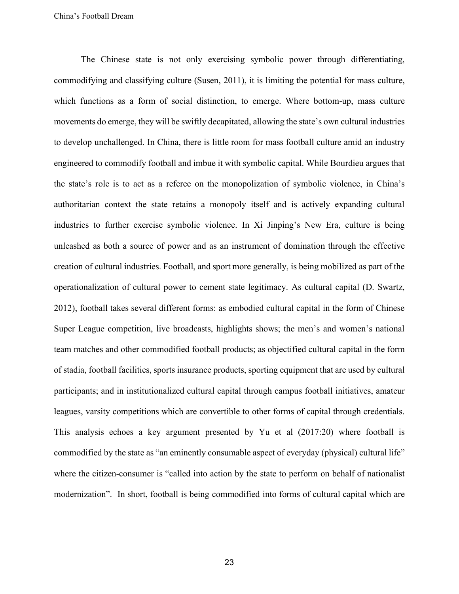The Chinese state is not only exercising symbolic power through differentiating, commodifying and classifying culture (Susen, 2011), it is limiting the potential for mass culture, which functions as a form of social distinction, to emerge. Where bottom-up, mass culture movements do emerge, they will be swiftly decapitated, allowing the state's own cultural industries to develop unchallenged. In China, there is little room for mass football culture amid an industry engineered to commodify football and imbue it with symbolic capital. While Bourdieu argues that the state's role is to act as a referee on the monopolization of symbolic violence, in China's authoritarian context the state retains a monopoly itself and is actively expanding cultural industries to further exercise symbolic violence. In Xi Jinping's New Era, culture is being unleashed as both a source of power and as an instrument of domination through the effective creation of cultural industries. Football, and sport more generally, is being mobilized as part of the operationalization of cultural power to cement state legitimacy. As cultural capital (D. Swartz, 2012), football takes several different forms: as embodied cultural capital in the form of Chinese Super League competition, live broadcasts, highlights shows; the men's and women's national team matches and other commodified football products; as objectified cultural capital in the form of stadia, football facilities, sports insurance products, sporting equipment that are used by cultural participants; and in institutionalized cultural capital through campus football initiatives, amateur leagues, varsity competitions which are convertible to other forms of capital through credentials. This analysis echoes a key argument presented by Yu et al (2017:20) where football is commodified by the state as "an eminently consumable aspect of everyday (physical) cultural life" where the citizen-consumer is "called into action by the state to perform on behalf of nationalist modernization". In short, football is being commodified into forms of cultural capital which are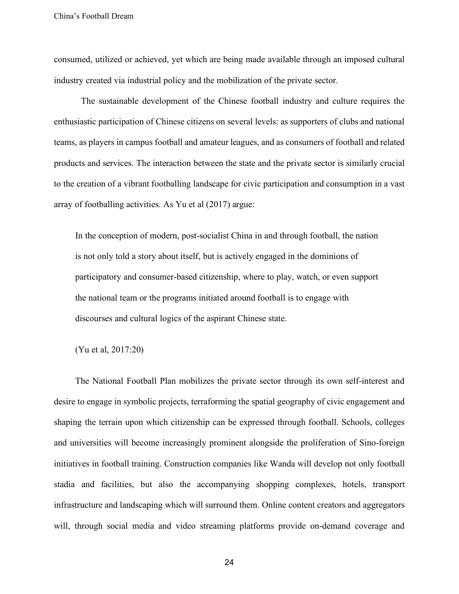consumed, utilized or achieved, yet which are being made available through an imposed cultural industry created via industrial policy and the mobilization of the private sector.

The sustainable development of the Chinese football industry and culture requires the enthusiastic participation of Chinese citizens on several levels: as supporters of clubs and national teams, as players in campus football and amateur leagues, and as consumers of football and related products and services. The interaction between the state and the private sector is similarly crucial to the creation of a vibrant footballing landscape for civic participation and consumption in a vast array of footballing activities. As Yu et al (2017) argue:

In the conception of modern, post-socialist China in and through football, the nation is not only told a story about itself, but is actively engaged in the dominions of participatory and consumer-based citizenship, where to play, watch, or even support the national team or the programs initiated around football is to engage with discourses and cultural logics of the aspirant Chinese state.

(Yu et al, 2017:20)

The National Football Plan mobilizes the private sector through its own self-interest and desire to engage in symbolic projects, terraforming the spatial geography of civic engagement and shaping the terrain upon which citizenship can be expressed through football. Schools, colleges and universities will become increasingly prominent alongside the proliferation of Sino-foreign initiatives in football training. Construction companies like Wanda will develop not only football stadia and facilities, but also the accompanying shopping complexes, hotels, transport infrastructure and landscaping which will surround them. Online content creators and aggregators will, through social media and video streaming platforms provide on-demand coverage and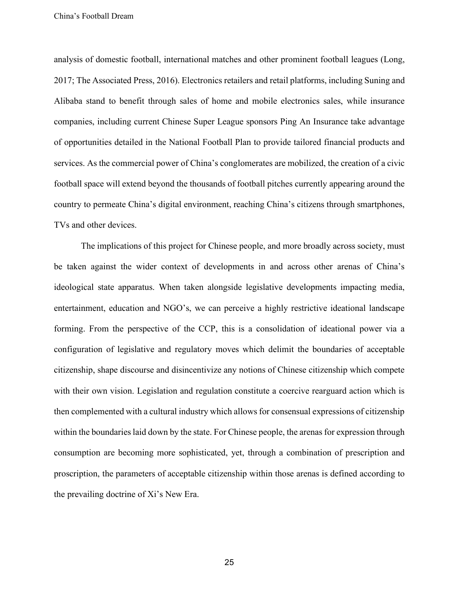analysis of domestic football, international matches and other prominent football leagues (Long, 2017; The Associated Press, 2016). Electronics retailers and retail platforms, including Suning and Alibaba stand to benefit through sales of home and mobile electronics sales, while insurance companies, including current Chinese Super League sponsors Ping An Insurance take advantage of opportunities detailed in the National Football Plan to provide tailored financial products and services. As the commercial power of China's conglomerates are mobilized, the creation of a civic football space will extend beyond the thousands of football pitches currently appearing around the country to permeate China's digital environment, reaching China's citizens through smartphones, TVs and other devices.

The implications of this project for Chinese people, and more broadly across society, must be taken against the wider context of developments in and across other arenas of China's ideological state apparatus. When taken alongside legislative developments impacting media, entertainment, education and NGO's, we can perceive a highly restrictive ideational landscape forming. From the perspective of the CCP, this is a consolidation of ideational power via a configuration of legislative and regulatory moves which delimit the boundaries of acceptable citizenship, shape discourse and disincentivize any notions of Chinese citizenship which compete with their own vision. Legislation and regulation constitute a coercive rearguard action which is then complemented with a cultural industry which allows for consensual expressions of citizenship within the boundaries laid down by the state. For Chinese people, the arenas for expression through consumption are becoming more sophisticated, yet, through a combination of prescription and proscription, the parameters of acceptable citizenship within those arenas is defined according to the prevailing doctrine of Xi's New Era.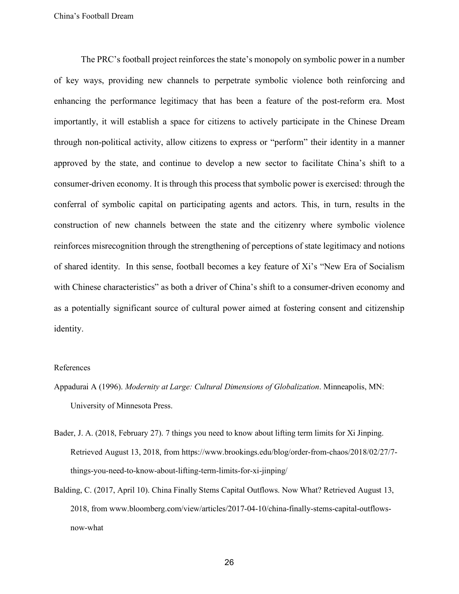The PRC's football project reinforces the state's monopoly on symbolic power in a number of key ways, providing new channels to perpetrate symbolic violence both reinforcing and enhancing the performance legitimacy that has been a feature of the post-reform era. Most importantly, it will establish a space for citizens to actively participate in the Chinese Dream through non-political activity, allow citizens to express or "perform" their identity in a manner approved by the state, and continue to develop a new sector to facilitate China's shift to a consumer-driven economy. It is through this process that symbolic power is exercised: through the conferral of symbolic capital on participating agents and actors. This, in turn, results in the construction of new channels between the state and the citizenry where symbolic violence reinforces misrecognition through the strengthening of perceptions of state legitimacy and notions of shared identity. In this sense, football becomes a key feature of Xi's "New Era of Socialism with Chinese characteristics" as both a driver of China's shift to a consumer-driven economy and as a potentially significant source of cultural power aimed at fostering consent and citizenship identity.

#### References

- Appadurai A (1996). *Modernity at Large: Cultural Dimensions of Globalization*. Minneapolis, MN: University of Minnesota Press.
- Bader, J. A. (2018, February 27). 7 things you need to know about lifting term limits for Xi Jinping. Retrieved August 13, 2018, from https://www.brookings.edu/blog/order-from-chaos/2018/02/27/7 things-you-need-to-know-about-lifting-term-limits-for-xi-jinping/
- Balding, C. (2017, April 10). China Finally Stems Capital Outflows. Now What? Retrieved August 13, 2018, from www.bloomberg.com/view/articles/2017-04-10/china-finally-stems-capital-outflowsnow-what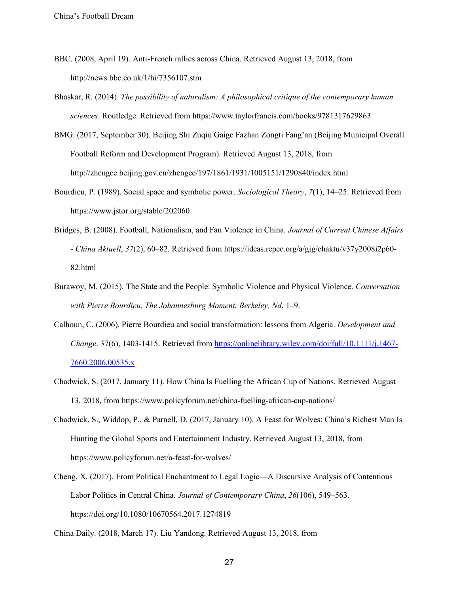- BBC. (2008, April 19). Anti-French rallies across China. Retrieved August 13, 2018, from http://news.bbc.co.uk/1/hi/7356107.stm
- Bhaskar, R. (2014). *The possibility of naturalism: A philosophical critique of the contemporary human sciences*. Routledge. Retrieved from https://www.taylorfrancis.com/books/9781317629863
- BMG. (2017, September 30). Beijing Shi Zuqiu Gaige Fazhan Zongti Fang'an (Beijing Municipal Overall Football Reform and Development Program). Retrieved August 13, 2018, from http://zhengce.beijing.gov.cn/zhengce/197/1861/1931/1005151/1290840/index.html
- Bourdieu, P. (1989). Social space and symbolic power. *Sociological Theory*, *7*(1), 14–25. Retrieved from https://www.jstor.org/stable/202060
- Bridges, B. (2008). Football, Nationalism, and Fan Violence in China. *Journal of Current Chinese Affairs - China Aktuell*, *37*(2), 60–82. Retrieved from https://ideas.repec.org/a/gig/chaktu/v37y2008i2p60- 82.html
- Burawoy, M. (2015). The State and the People: Symbolic Violence and Physical Violence. *Conversation with Pierre Bourdieu, The Johannesburg Moment. Berkeley, Nd*, 1–9.
- Calhoun, C. (2006). Pierre Bourdieu and social transformation: lessons from Algeria. *Development and Change*. 37(6), 1403-1415. Retrieved from https://onlinelibrary.wiley.com/doi/full/10.1111/j.1467- 7660.2006.00535.x
- Chadwick, S. (2017, January 11). How China Is Fuelling the African Cup of Nations. Retrieved August 13, 2018, from https://www.policyforum.net/china-fuelling-african-cup-nations/
- Chadwick, S., Widdop, P., & Parnell, D. (2017, January 10). A Feast for Wolves: China's Richest Man Is Hunting the Global Sports and Entertainment Industry. Retrieved August 13, 2018, from https://www.policyforum.net/a-feast-for-wolves/
- Cheng, X. (2017). From Political Enchantment to Legal Logic—A Discursive Analysis of Contentious Labor Politics in Central China. *Journal of Contemporary China*, *26*(106), 549–563. https://doi.org/10.1080/10670564.2017.1274819

China Daily. (2018, March 17). Liu Yandong. Retrieved August 13, 2018, from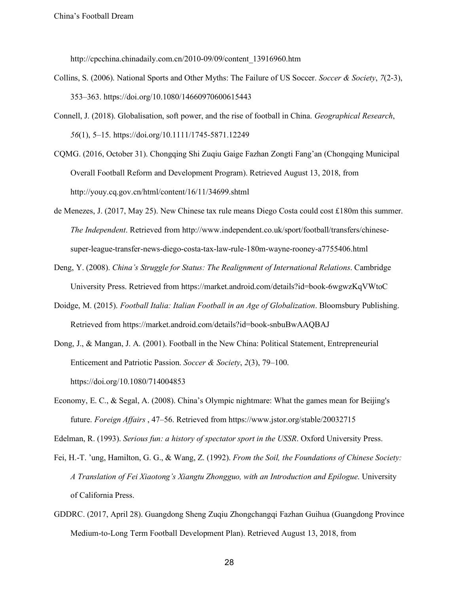http://cpcchina.chinadaily.com.cn/2010-09/09/content\_13916960.htm

- Collins, S. (2006). National Sports and Other Myths: The Failure of US Soccer. *Soccer & Society*, *7*(2-3), 353–363. https://doi.org/10.1080/14660970600615443
- Connell, J. (2018). Globalisation, soft power, and the rise of football in China. *Geographical Research*, *56*(1), 5–15. https://doi.org/10.1111/1745-5871.12249
- CQMG. (2016, October 31). Chongqing Shi Zuqiu Gaige Fazhan Zongti Fang'an (Chongqing Municipal Overall Football Reform and Development Program). Retrieved August 13, 2018, from http://youy.cq.gov.cn/html/content/16/11/34699.shtml
- de Menezes, J. (2017, May 25). New Chinese tax rule means Diego Costa could cost £180m this summer. *The Independent*. Retrieved from http://www.independent.co.uk/sport/football/transfers/chinesesuper-league-transfer-news-diego-costa-tax-law-rule-180m-wayne-rooney-a7755406.html
- Deng, Y. (2008). *China's Struggle for Status: The Realignment of International Relations*. Cambridge University Press. Retrieved from https://market.android.com/details?id=book-6wgwzKqVWtoC
- Doidge, M. (2015). *Football Italia: Italian Football in an Age of Globalization*. Bloomsbury Publishing. Retrieved from https://market.android.com/details?id=book-snbuBwAAQBAJ
- Dong, J., & Mangan, J. A. (2001). Football in the New China: Political Statement, Entrepreneurial Enticement and Patriotic Passion. *Soccer & Society*, *2*(3), 79–100. https://doi.org/10.1080/714004853
- Economy, E. C., & Segal, A. (2008). China's Olympic nightmare: What the games mean for Beijing's future. *Foreign Affairs* , 47–56. Retrieved from https://www.jstor.org/stable/20032715

Edelman, R. (1993). *Serious fun: a history of spectator sport in the USSR*. Oxford University Press.

- Fei, H.-T. 'ung, Hamilton, G. G., & Wang, Z. (1992). *From the Soil, the Foundations of Chinese Society: A Translation of Fei Xiaotong's Xiangtu Zhongguo, with an Introduction and Epilogue*. University of California Press.
- GDDRC. (2017, April 28). Guangdong Sheng Zuqiu Zhongchangqi Fazhan Guihua (Guangdong Province Medium-to-Long Term Football Development Plan). Retrieved August 13, 2018, from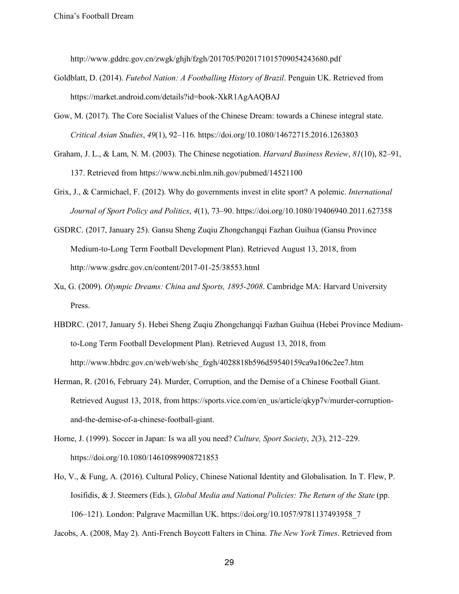http://www.gddrc.gov.cn/zwgk/ghjh/fzgh/201705/P020171015709054243680.pdf

- Goldblatt, D. (2014). *Futebol Nation: A Footballing History of Brazil*. Penguin UK. Retrieved from https://market.android.com/details?id=book-XkR1AgAAQBAJ
- Gow, M. (2017). The Core Socialist Values of the Chinese Dream: towards a Chinese integral state. *Critical Asian Studies*, *49*(1), 92–116. https://doi.org/10.1080/14672715.2016.1263803
- Graham, J. L., & Lam, N. M. (2003). The Chinese negotiation. *Harvard Business Review*, *81*(10), 82–91, 137. Retrieved from https://www.ncbi.nlm.nih.gov/pubmed/14521100
- Grix, J., & Carmichael, F. (2012). Why do governments invest in elite sport? A polemic. *International Journal of Sport Policy and Politics*, *4*(1), 73–90. https://doi.org/10.1080/19406940.2011.627358
- GSDRC. (2017, January 25). Gansu Sheng Zuqiu Zhongchangqi Fazhan Guihua (Gansu Province Medium-to-Long Term Football Development Plan). Retrieved August 13, 2018, from http://www.gsdrc.gov.cn/content/2017-01-25/38553.html
- Xu, G. (2009). *Olympic Dreams: China and Sports, 1895-2008*. Cambridge MA: Harvard University Press.
- HBDRC. (2017, January 5). Hebei Sheng Zuqiu Zhongchangqi Fazhan Guihua (Hebei Province Mediumto-Long Term Football Development Plan). Retrieved August 13, 2018, from http://www.hbdrc.gov.cn/web/web/shc\_fzgh/4028818b596d59540159ca9a106c2ee7.htm
- Herman, R. (2016, February 24). Murder, Corruption, and the Demise of a Chinese Football Giant. Retrieved August 13, 2018, from https://sports.vice.com/en\_us/article/qkyp7v/murder-corruptionand-the-demise-of-a-chinese-football-giant.
- Horne, J. (1999). Soccer in Japan: Is wa all you need? *Culture, Sport Society*, *2*(3), 212–229. https://doi.org/10.1080/14610989908721853
- Ho, V., & Fung, A. (2016). Cultural Policy, Chinese National Identity and Globalisation. In T. Flew, P. Iosifidis, & J. Steemers (Eds.), *Global Media and National Policies: The Return of the State* (pp. 106–121). London: Palgrave Macmillan UK. https://doi.org/10.1057/9781137493958\_7

Jacobs, A. (2008, May 2). Anti-French Boycott Falters in China. *The New York Times*. Retrieved from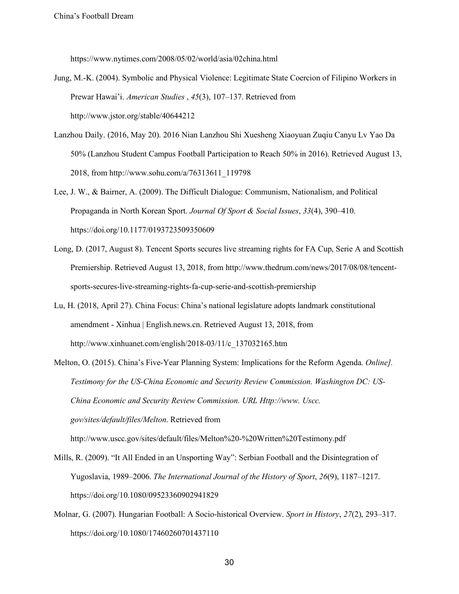https://www.nytimes.com/2008/05/02/world/asia/02china.html

- Jung, M.-K. (2004). Symbolic and Physical Violence: Legitimate State Coercion of Filipino Workers in Prewar Hawai'i. *American Studies* , *45*(3), 107–137. Retrieved from http://www.jstor.org/stable/40644212
- Lanzhou Daily. (2016, May 20). 2016 Nian Lanzhou Shi Xuesheng Xiaoyuan Zuqiu Canyu Lv Yao Da 50% (Lanzhou Student Campus Football Participation to Reach 50% in 2016). Retrieved August 13, 2018, from http://www.sohu.com/a/76313611\_119798
- Lee, J. W., & Bairner, A. (2009). The Difficult Dialogue: Communism, Nationalism, and Political Propaganda in North Korean Sport. *Journal Of Sport & Social Issues*, *33*(4), 390–410. https://doi.org/10.1177/0193723509350609
- Long, D. (2017, August 8). Tencent Sports secures live streaming rights for FA Cup, Serie A and Scottish Premiership. Retrieved August 13, 2018, from http://www.thedrum.com/news/2017/08/08/tencentsports-secures-live-streaming-rights-fa-cup-serie-and-scottish-premiership
- Lu, H. (2018, April 27). China Focus: China's national legislature adopts landmark constitutional amendment - Xinhua | English.news.cn. Retrieved August 13, 2018, from http://www.xinhuanet.com/english/2018-03/11/c\_137032165.htm
- Melton, O. (2015). China's Five-Year Planning System: Implications for the Reform Agenda. *Online]. Testimony for the US-China Economic and Security Review Commission. Washington DC: US-China Economic and Security Review Commission. URL Http://www. Uscc. gov/sites/default/files/Melton*. Retrieved from http://www.uscc.gov/sites/default/files/Melton%20-%20Written%20Testimony.pdf
- Mills, R. (2009). "It All Ended in an Unsporting Way": Serbian Football and the Disintegration of
- Yugoslavia, 1989–2006. *The International Journal of the History of Sport*, *26*(9), 1187–1217. https://doi.org/10.1080/09523360902941829
- Molnar, G. (2007). Hungarian Football: A Socio-historical Overview. *Sport in History*, *27*(2), 293–317. https://doi.org/10.1080/17460260701437110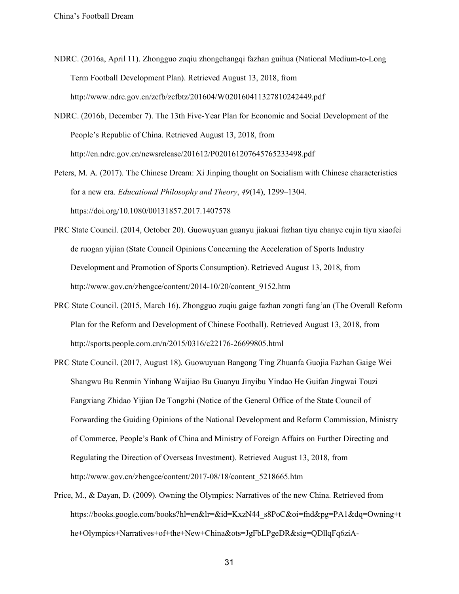- NDRC. (2016a, April 11). Zhongguo zuqiu zhongchangqi fazhan guihua (National Medium-to-Long Term Football Development Plan). Retrieved August 13, 2018, from http://www.ndrc.gov.cn/zcfb/zcfbtz/201604/W020160411327810242449.pdf
- NDRC. (2016b, December 7). The 13th Five-Year Plan for Economic and Social Development of the People's Republic of China. Retrieved August 13, 2018, from http://en.ndrc.gov.cn/newsrelease/201612/P020161207645765233498.pdf
- Peters, M. A. (2017). The Chinese Dream: Xi Jinping thought on Socialism with Chinese characteristics for a new era. *Educational Philosophy and Theory*, *49*(14), 1299–1304. https://doi.org/10.1080/00131857.2017.1407578
- PRC State Council. (2014, October 20). Guowuyuan guanyu jiakuai fazhan tiyu chanye cujin tiyu xiaofei de ruogan yijian (State Council Opinions Concerning the Acceleration of Sports Industry Development and Promotion of Sports Consumption). Retrieved August 13, 2018, from http://www.gov.cn/zhengce/content/2014-10/20/content\_9152.htm
- PRC State Council. (2015, March 16). Zhongguo zuqiu gaige fazhan zongti fang'an (The Overall Reform Plan for the Reform and Development of Chinese Football). Retrieved August 13, 2018, from http://sports.people.com.cn/n/2015/0316/c22176-26699805.html
- PRC State Council. (2017, August 18). Guowuyuan Bangong Ting Zhuanfa Guojia Fazhan Gaige Wei Shangwu Bu Renmin Yinhang Waijiao Bu Guanyu Jinyibu Yindao He Guifan Jingwai Touzi Fangxiang Zhidao Yijian De Tongzhi (Notice of the General Office of the State Council of Forwarding the Guiding Opinions of the National Development and Reform Commission, Ministry of Commerce, People's Bank of China and Ministry of Foreign Affairs on Further Directing and Regulating the Direction of Overseas Investment). Retrieved August 13, 2018, from http://www.gov.cn/zhengce/content/2017-08/18/content\_5218665.htm
- Price, M., & Dayan, D. (2009). Owning the Olympics: Narratives of the new China. Retrieved from https://books.google.com/books?hl=en&lr=&id=KxzN44\_s8PoC&oi=fnd&pg=PA1&dq=Owning+t he+Olympics+Narratives+of+the+New+China&ots=JgFbLPgeDR&sig=QDllqFq6ziA-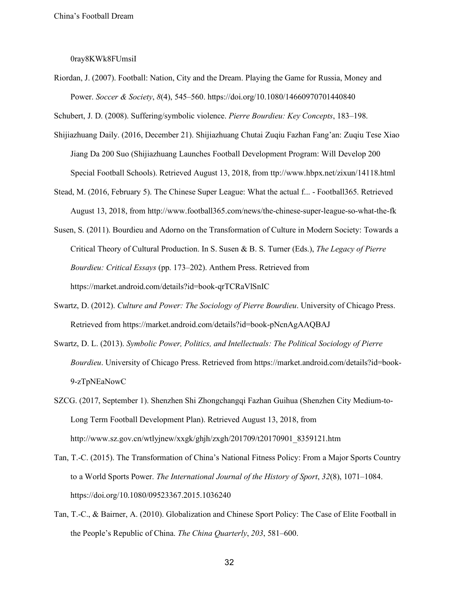0ray8KWk8FUmsiI

Riordan, J. (2007). Football: Nation, City and the Dream. Playing the Game for Russia, Money and Power. *Soccer & Society*, *8*(4), 545–560. https://doi.org/10.1080/14660970701440840

Schubert, J. D. (2008). Suffering/symbolic violence. *Pierre Bourdieu: Key Concepts*, 183–198.

- Shijiazhuang Daily. (2016, December 21). Shijiazhuang Chutai Zuqiu Fazhan Fang'an: Zuqiu Tese Xiao Jiang Da 200 Suo (Shijiazhuang Launches Football Development Program: Will Develop 200 Special Football Schools). Retrieved August 13, 2018, from ttp://www.hbpx.net/zixun/14118.html
- Stead, M. (2016, February 5). The Chinese Super League: What the actual f... Football365. Retrieved August 13, 2018, from http://www.football365.com/news/the-chinese-super-league-so-what-the-fk
- Susen, S. (2011). Bourdieu and Adorno on the Transformation of Culture in Modern Society: Towards a Critical Theory of Cultural Production. In S. Susen & B. S. Turner (Eds.), *The Legacy of Pierre Bourdieu: Critical Essays* (pp. 173–202). Anthem Press. Retrieved from https://market.android.com/details?id=book-qrTCRaVlSnIC
- Swartz, D. (2012). *Culture and Power: The Sociology of Pierre Bourdieu*. University of Chicago Press. Retrieved from https://market.android.com/details?id=book-pNcnAgAAQBAJ
- Swartz, D. L. (2013). *Symbolic Power, Politics, and Intellectuals: The Political Sociology of Pierre Bourdieu*. University of Chicago Press. Retrieved from https://market.android.com/details?id=book-9-zTpNEaNowC
- SZCG. (2017, September 1). Shenzhen Shi Zhongchangqi Fazhan Guihua (Shenzhen City Medium-to-Long Term Football Development Plan). Retrieved August 13, 2018, from http://www.sz.gov.cn/wtlyjnew/xxgk/ghjh/zxgh/201709/t20170901\_8359121.htm
- Tan, T.-C. (2015). The Transformation of China's National Fitness Policy: From a Major Sports Country to a World Sports Power. *The International Journal of the History of Sport*, *32*(8), 1071–1084. https://doi.org/10.1080/09523367.2015.1036240
- Tan, T.-C., & Bairner, A. (2010). Globalization and Chinese Sport Policy: The Case of Elite Football in the People's Republic of China. *The China Quarterly*, *203*, 581–600.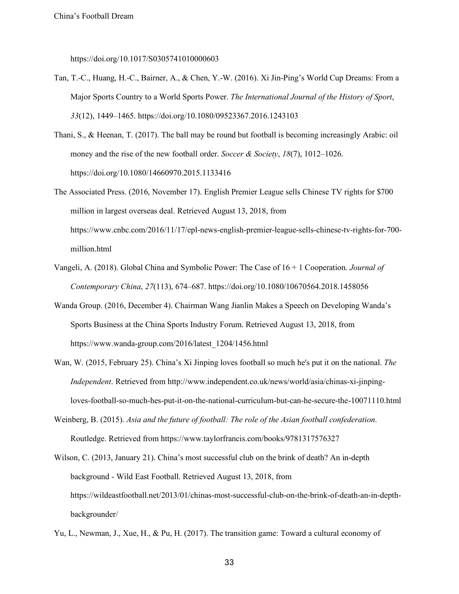https://doi.org/10.1017/S0305741010000603

- Tan, T.-C., Huang, H.-C., Bairner, A., & Chen, Y.-W. (2016). Xi Jin-Ping's World Cup Dreams: From a Major Sports Country to a World Sports Power. *The International Journal of the History of Sport*, *33*(12), 1449–1465. https://doi.org/10.1080/09523367.2016.1243103
- Thani, S., & Heenan, T. (2017). The ball may be round but football is becoming increasingly Arabic: oil money and the rise of the new football order. *Soccer & Society*, *18*(7), 1012–1026. https://doi.org/10.1080/14660970.2015.1133416
- The Associated Press. (2016, November 17). English Premier League sells Chinese TV rights for \$700 million in largest overseas deal. Retrieved August 13, 2018, from https://www.cnbc.com/2016/11/17/epl-news-english-premier-league-sells-chinese-tv-rights-for-700 million.html
- Vangeli, A. (2018). Global China and Symbolic Power: The Case of 16 + 1 Cooperation. *Journal of Contemporary China*, *27*(113), 674–687. https://doi.org/10.1080/10670564.2018.1458056
- Wanda Group. (2016, December 4). Chairman Wang Jianlin Makes a Speech on Developing Wanda's Sports Business at the China Sports Industry Forum. Retrieved August 13, 2018, from https://www.wanda-group.com/2016/latest\_1204/1456.html
- Wan, W. (2015, February 25). China's Xi Jinping loves football so much he's put it on the national. *The Independent*. Retrieved from http://www.independent.co.uk/news/world/asia/chinas-xi-jinpingloves-football-so-much-hes-put-it-on-the-national-curriculum-but-can-he-secure-the-10071110.html
- Weinberg, B. (2015). *Asia and the future of football: The role of the Asian football confederation*. Routledge. Retrieved from https://www.taylorfrancis.com/books/9781317576327
- Wilson, C. (2013, January 21). China's most successful club on the brink of death? An in-depth background - Wild East Football. Retrieved August 13, 2018, from https://wildeastfootball.net/2013/01/chinas-most-successful-club-on-the-brink-of-death-an-in-depthbackgrounder/
- Yu, L., Newman, J., Xue, H., & Pu, H. (2017). The transition game: Toward a cultural economy of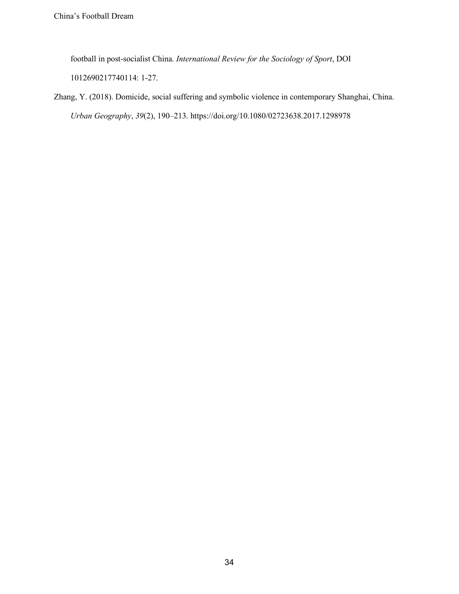football in post-socialist China. *International Review for the Sociology of Sport*, DOI 1012690217740114: 1-27.

Zhang, Y. (2018). Domicide, social suffering and symbolic violence in contemporary Shanghai, China. *Urban Geography*, *39*(2), 190–213. https://doi.org/10.1080/02723638.2017.1298978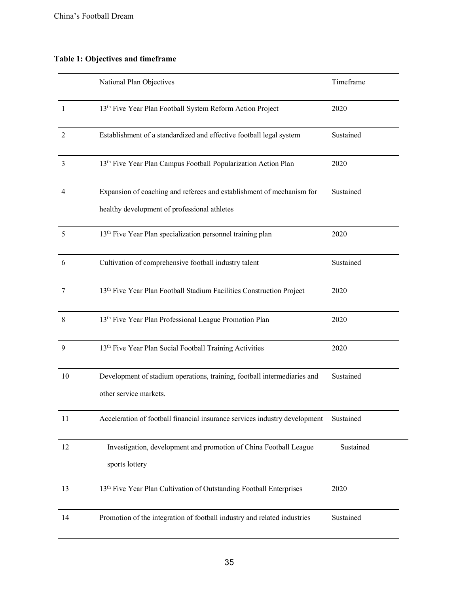# **Table 1: Objectives and timeframe**

|                | National Plan Objectives                                                         | Timeframe |
|----------------|----------------------------------------------------------------------------------|-----------|
| $\overline{1}$ | 13th Five Year Plan Football System Reform Action Project                        | 2020      |
| $\overline{2}$ | Establishment of a standardized and effective football legal system              | Sustained |
| 3              | 13 <sup>th</sup> Five Year Plan Campus Football Popularization Action Plan       | 2020      |
| 4              | Expansion of coaching and referees and establishment of mechanism for            | Sustained |
|                | healthy development of professional athletes                                     |           |
| 5              | 13 <sup>th</sup> Five Year Plan specialization personnel training plan           | 2020      |
| 6              | Cultivation of comprehensive football industry talent                            | Sustained |
| 7              | 13 <sup>th</sup> Five Year Plan Football Stadium Facilities Construction Project | 2020      |
| 8              | 13 <sup>th</sup> Five Year Plan Professional League Promotion Plan               | 2020      |
| 9              | 13th Five Year Plan Social Football Training Activities                          | 2020      |
| 10             | Development of stadium operations, training, football intermediaries and         | Sustained |
|                | other service markets.                                                           |           |
| 11             | Acceleration of football financial insurance services industry development       | Sustained |
| 12             | Investigation, development and promotion of China Football League                | Sustained |
|                | sports lottery                                                                   |           |
| 13             | 13 <sup>th</sup> Five Year Plan Cultivation of Outstanding Football Enterprises  | 2020      |
| 14             | Promotion of the integration of football industry and related industries         | Sustained |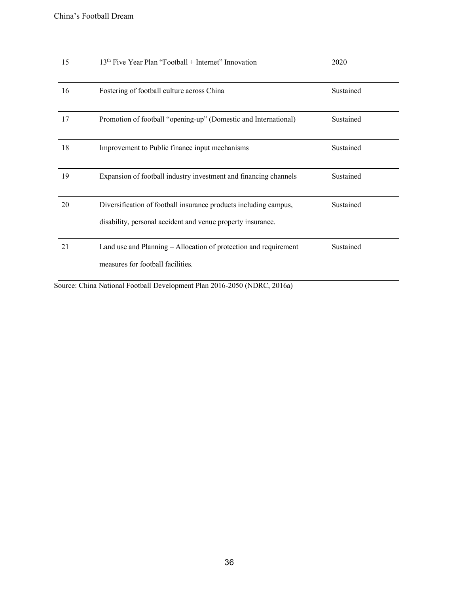| 15 | $13th$ Five Year Plan "Football + Internet" Innovation           | 2020      |
|----|------------------------------------------------------------------|-----------|
|    |                                                                  |           |
| 16 | Fostering of football culture across China                       | Sustained |
|    |                                                                  |           |
| 17 | Promotion of football "opening-up" (Domestic and International)  | Sustained |
|    |                                                                  |           |
| 18 | Improvement to Public finance input mechanisms                   | Sustained |
|    |                                                                  |           |
| 19 | Expansion of football industry investment and financing channels | Sustained |
|    |                                                                  |           |
| 20 | Diversification of football insurance products including campus, | Sustained |
|    | disability, personal accident and venue property insurance.      |           |
|    |                                                                  |           |
| 21 | Land use and Planning – Allocation of protection and requirement | Sustained |
|    | measures for football facilities.                                |           |
|    |                                                                  |           |

Source: China National Football Development Plan 2016-2050 (NDRC, 2016a)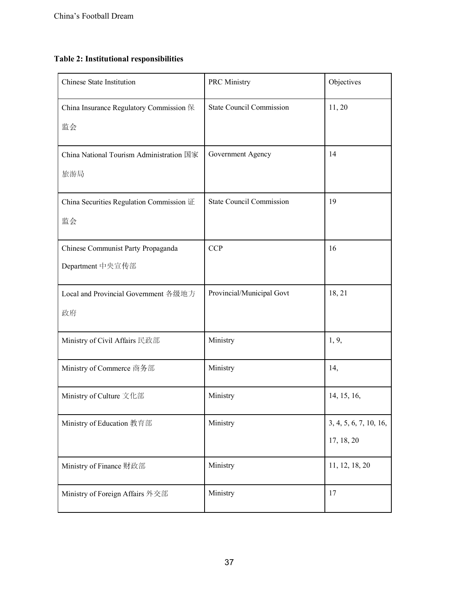# **Table 2: Institutional responsibilities**

| <b>Chinese State Institution</b>                       | <b>PRC</b> Ministry             | Objectives                           |
|--------------------------------------------------------|---------------------------------|--------------------------------------|
| China Insurance Regulatory Commission 保<br>监会          | <b>State Council Commission</b> | 11, 20                               |
| China National Tourism Administration 国家<br>旅游局        | Government Agency               | 14                                   |
| China Securities Regulation Commission 证<br>监会         | <b>State Council Commission</b> | 19                                   |
| Chinese Communist Party Propaganda<br>Department 中央宣传部 | <b>CCP</b>                      | 16                                   |
| Local and Provincial Government 各级地方<br>政府             | Provincial/Municipal Govt       | 18, 21                               |
| Ministry of Civil Affairs 民政部                          | Ministry                        | 1, 9,                                |
| Ministry of Commerce 商务部                               | Ministry                        | 14,                                  |
| Ministry of Culture 文化部                                | Ministry                        | 14, 15, 16,                          |
| Ministry of Education 教育部                              | Ministry                        | 3, 4, 5, 6, 7, 10, 16,<br>17, 18, 20 |
| Ministry of Finance 财政部                                | Ministry                        | 11, 12, 18, 20                       |
| Ministry of Foreign Affairs 外交部                        | Ministry                        | 17                                   |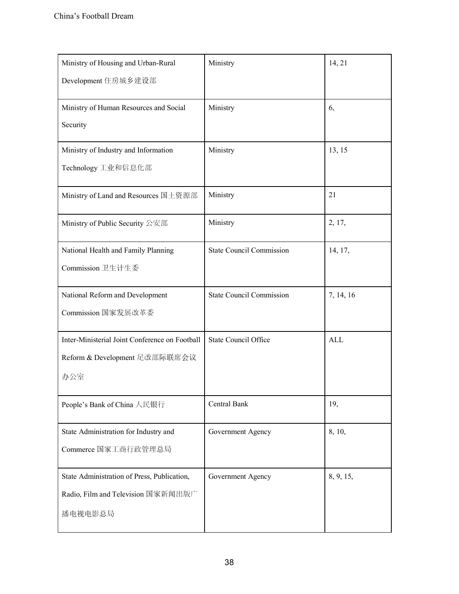| Ministry of Housing and Urban-Rural            | Ministry                        | 14, 21     |
|------------------------------------------------|---------------------------------|------------|
| Development 住房城乡建设部                            |                                 |            |
| Ministry of Human Resources and Social         | Ministry                        | 6,         |
| Security                                       |                                 |            |
| Ministry of Industry and Information           | Ministry                        | 13, 15     |
| Technology 工业和信息化部                             |                                 |            |
| Ministry of Land and Resources 国土资源部           | Ministry                        | 21         |
| Ministry of Public Security 公安部                | Ministry                        | 2, 17,     |
| National Health and Family Planning            | <b>State Council Commission</b> | 14, 17,    |
| Commission 卫生计生委                               |                                 |            |
| National Reform and Development                | <b>State Council Commission</b> | 7, 14, 16  |
| Commission 国家发展改革委                             |                                 |            |
| Inter-Ministerial Joint Conference on Football | <b>State Council Office</b>     | <b>ALL</b> |
| Reform & Development 足改部际联席会议                  |                                 |            |
| 办公室                                            |                                 |            |
| People's Bank of China 人民银行                    | Central Bank                    | 19,        |
| State Administration for Industry and          | Government Agency               | 8, 10,     |
| Commerce 国家工商行政管理总局                            |                                 |            |
| State Administration of Press, Publication,    | Government Agency               | 8, 9, 15,  |
| Radio, Film and Television 国家新闻出版广             |                                 |            |
| 播电视电影总局                                        |                                 |            |
|                                                |                                 |            |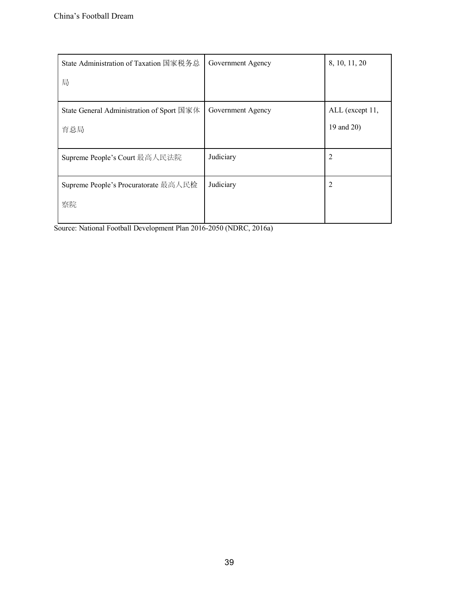| State Administration of Taxation 国家税务总    | Government Agency | 8, 10, 11, 20   |
|-------------------------------------------|-------------------|-----------------|
| 局                                         |                   |                 |
| State General Administration of Sport 国家体 | Government Agency | ALL (except 11, |
| 育总局                                       |                   | 19 and 20)      |
| Supreme People's Court 最高人民法院             | Judiciary         | 2               |
| Supreme People's Procuratorate 最高人民检      | Judiciary         | 2               |
| 察院                                        |                   |                 |

Source: National Football Development Plan 2016-2050 (NDRC, 2016a)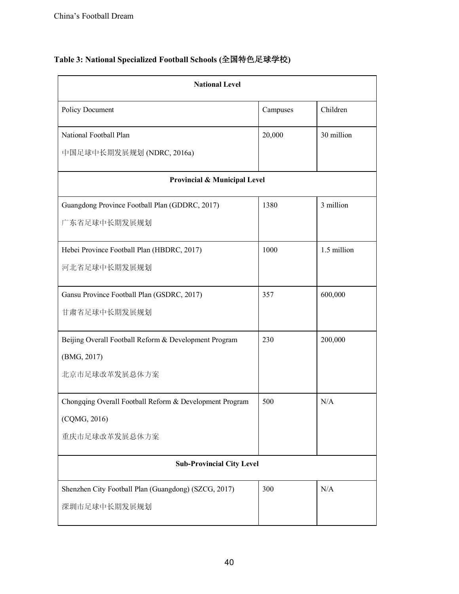| <b>National Level</b>                                   |          |             |
|---------------------------------------------------------|----------|-------------|
| Policy Document                                         | Campuses | Children    |
| National Football Plan                                  | 20,000   | 30 million  |
| 中国足球中长期发展规划 (NDRC, 2016a)                               |          |             |
| Provincial & Municipal Level                            |          |             |
| Guangdong Province Football Plan (GDDRC, 2017)          | 1380     | 3 million   |
| 广东省足球中长期发展规划                                            |          |             |
| Hebei Province Football Plan (HBDRC, 2017)              | 1000     | 1.5 million |
| 河北省足球中长期发展规划                                            |          |             |
| Gansu Province Football Plan (GSDRC, 2017)              | 357      | 600,000     |
| 甘肃省足球中长期发展规划                                            |          |             |
| Beijing Overall Football Reform & Development Program   | 230      | 200,000     |
| (BMG, 2017)                                             |          |             |
| 北京市足球改革发展总体方案                                           |          |             |
| Chongqing Overall Football Reform & Development Program | 500      | N/A         |
| (CQMG, 2016)                                            |          |             |
| 重庆市足球改革发展总体方案                                           |          |             |
| <b>Sub-Provincial City Level</b>                        |          |             |
| Shenzhen City Football Plan (Guangdong) (SZCG, 2017)    | 300      | N/A         |
| 深圳市足球中长期发展规划                                            |          |             |
|                                                         |          |             |

# **Table 3: National Specialized Football Schools (**全国特色足球学校**)**